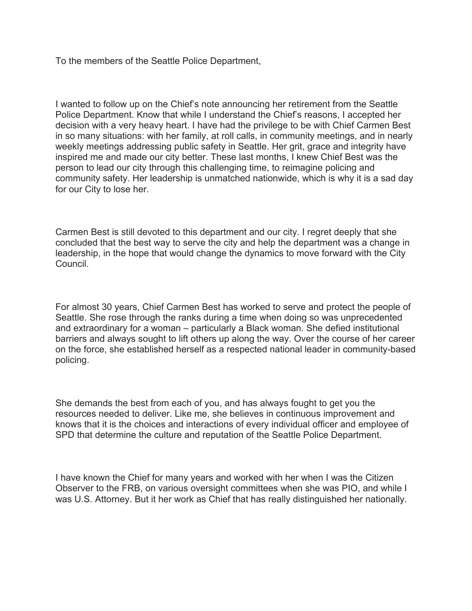To the members of the Seattle Police Department,

I wanted to follow up on the Chief's note announcing her retirement from the Seattle Police Department. Know that while I understand the Chief's reasons, I accepted her decision with a very heavy heart. I have had the privilege to be with Chief Carmen Best in so many situations: with her family, at roll calls, in community meetings, and in nearly weekly meetings addressing public safety in Seattle. Her grit, grace and integrity have inspired me and made our city better. These last months, I knew Chief Best was the person to lead our city through this challenging time, to reimagine policing and community safety. Her leadership is unmatched nationwide, which is why it is a sad day for our City to lose her.

Carmen Best is still devoted to this department and our city. I regret deeply that she concluded that the best way to serve the city and help the department was a change in leadership, in the hope that would change the dynamics to move forward with the City Council.

For almost 30 years, Chief Carmen Best has worked to serve and protect the people of Seattle. She rose through the ranks during a time when doing so was unprecedented and extraordinary for a woman – particularly a Black woman. She defied institutional barriers and always sought to lift others up along the way. Over the course of her career on the force, she established herself as a respected national leader in community-based policing.

She demands the best from each of you, and has always fought to get you the resources needed to deliver. Like me, she believes in continuous improvement and knows that it is the choices and interactions of every individual officer and employee of SPD that determine the culture and reputation of the Seattle Police Department.

I have known the Chief for many years and worked with her when I was the Citizen Observer to the FRB, on various oversight committees when she was PIO, and while I was U.S. Attorney. But it her work as Chief that has really distinguished her nationally.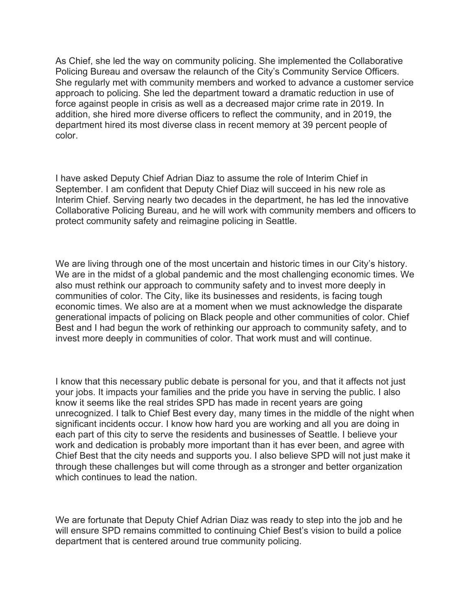As Chief, she led the way on community policing. She implemented the Collaborative Policing Bureau and oversaw the relaunch of the City's Community Service Officers. She regularly met with community members and worked to advance a customer service approach to policing. She led the department toward a dramatic reduction in use of force against people in crisis as well as a decreased major crime rate in 2019. In addition, she hired more diverse officers to reflect the community, and in 2019, the department hired its most diverse class in recent memory at 39 percent people of color.

I have asked Deputy Chief Adrian Diaz to assume the role of Interim Chief in September. I am confident that Deputy Chief Diaz will succeed in his new role as Interim Chief. Serving nearly two decades in the department, he has led the innovative Collaborative Policing Bureau, and he will work with community members and officers to protect community safety and reimagine policing in Seattle.

We are living through one of the most uncertain and historic times in our City's history. We are in the midst of a global pandemic and the most challenging economic times. We also must rethink our approach to community safety and to invest more deeply in communities of color. The City, like its businesses and residents, is facing tough economic times. We also are at a moment when we must acknowledge the disparate generational impacts of policing on Black people and other communities of color. Chief Best and I had begun the work of rethinking our approach to community safety, and to invest more deeply in communities of color. That work must and will continue.

I know that this necessary public debate is personal for you, and that it affects not just your jobs. It impacts your families and the pride you have in serving the public. I also know it seems like the real strides SPD has made in recent years are going unrecognized. I talk to Chief Best every day, many times in the middle of the night when significant incidents occur. I know how hard you are working and all you are doing in each part of this city to serve the residents and businesses of Seattle. I believe your work and dedication is probably more important than it has ever been, and agree with Chief Best that the city needs and supports you. I also believe SPD will not just make it through these challenges but will come through as a stronger and better organization which continues to lead the nation.

We are fortunate that Deputy Chief Adrian Diaz was ready to step into the job and he will ensure SPD remains committed to continuing Chief Best's vision to build a police department that is centered around true community policing.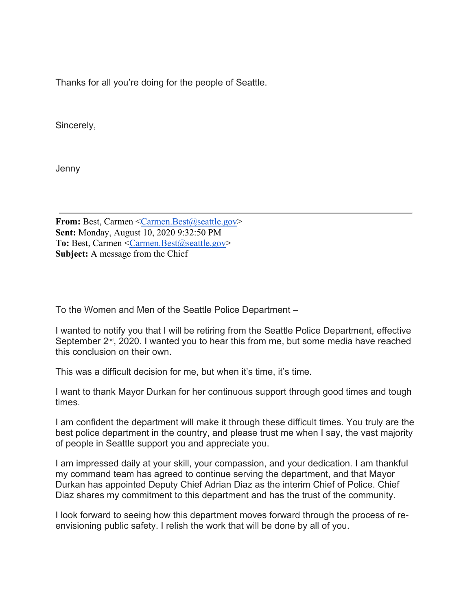Thanks for all you're doing for the people of Seattle.

Sincerely,

Jenny

**From:** Best, Carmen [<Carmen.Best@seattle.gov>](mailto:Carmen.Best@seattle.gov) **Sent:** Monday, August 10, 2020 9:32:50 PM To: Best, Carmen [<Carmen.Best@seattle.gov>](mailto:Carmen.Best@seattle.gov) **Subject:** A message from the Chief

To the Women and Men of the Seattle Police Department –

I wanted to notify you that I will be retiring from the Seattle Police Department, effective September  $2^{nd}$ , 2020. I wanted you to hear this from me, but some media have reached this conclusion on their own.

This was a difficult decision for me, but when it's time, it's time.

I want to thank Mayor Durkan for her continuous support through good times and tough times.

I am confident the department will make it through these difficult times. You truly are the best police department in the country, and please trust me when I say, the vast majority of people in Seattle support you and appreciate you.

I am impressed daily at your skill, your compassion, and your dedication. I am thankful my command team has agreed to continue serving the department, and that Mayor Durkan has appointed Deputy Chief Adrian Diaz as the interim Chief of Police. Chief Diaz shares my commitment to this department and has the trust of the community.

I look forward to seeing how this department moves forward through the process of reenvisioning public safety. I relish the work that will be done by all of you.